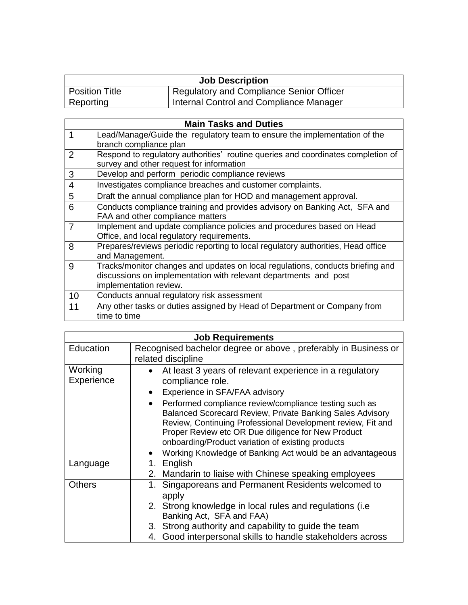| <b>Job Description</b> |                                                 |  |  |
|------------------------|-------------------------------------------------|--|--|
| Position Title         | <b>Regulatory and Compliance Senior Officer</b> |  |  |
| Reporting              | Internal Control and Compliance Manager         |  |  |

| <b>Main Tasks and Duties</b> |                                                                                  |  |  |
|------------------------------|----------------------------------------------------------------------------------|--|--|
| 1                            | Lead/Manage/Guide the regulatory team to ensure the implementation of the        |  |  |
|                              | branch compliance plan                                                           |  |  |
| $\overline{2}$               | Respond to regulatory authorities' routine queries and coordinates completion of |  |  |
|                              | survey and other request for information                                         |  |  |
| 3                            | Develop and perform periodic compliance reviews                                  |  |  |
| $\overline{4}$               | Investigates compliance breaches and customer complaints.                        |  |  |
| 5                            | Draft the annual compliance plan for HOD and management approval.                |  |  |
| 6                            | Conducts compliance training and provides advisory on Banking Act, SFA and       |  |  |
|                              | FAA and other compliance matters                                                 |  |  |
| 7                            | Implement and update compliance policies and procedures based on Head            |  |  |
|                              | Office, and local regulatory requirements.                                       |  |  |
| 8                            | Prepares/reviews periodic reporting to local regulatory authorities, Head office |  |  |
|                              | and Management.                                                                  |  |  |
| 9                            | Tracks/monitor changes and updates on local regulations, conducts briefing and   |  |  |
|                              | discussions on implementation with relevant departments and post                 |  |  |
|                              | implementation review.                                                           |  |  |
| 10                           | Conducts annual regulatory risk assessment                                       |  |  |
| 11                           | Any other tasks or duties assigned by Head of Department or Company from         |  |  |
|                              | time to time                                                                     |  |  |

| <b>Job Requirements</b> |                                                                                                                                                                                                                                                                                               |  |  |
|-------------------------|-----------------------------------------------------------------------------------------------------------------------------------------------------------------------------------------------------------------------------------------------------------------------------------------------|--|--|
| Education               | Recognised bachelor degree or above, preferably in Business or                                                                                                                                                                                                                                |  |  |
|                         | related discipline                                                                                                                                                                                                                                                                            |  |  |
| Working                 | At least 3 years of relevant experience in a regulatory                                                                                                                                                                                                                                       |  |  |
| Experience              | compliance role.                                                                                                                                                                                                                                                                              |  |  |
|                         | Experience in SFA/FAA advisory                                                                                                                                                                                                                                                                |  |  |
|                         | Performed compliance review/compliance testing such as<br>Balanced Scorecard Review, Private Banking Sales Advisory<br>Review, Continuing Professional Development review, Fit and<br>Proper Review etc OR Due diligence for New Product<br>onboarding/Product variation of existing products |  |  |
|                         | Working Knowledge of Banking Act would be an advantageous                                                                                                                                                                                                                                     |  |  |
| Language                | 1. English                                                                                                                                                                                                                                                                                    |  |  |
|                         | 2. Mandarin to liaise with Chinese speaking employees                                                                                                                                                                                                                                         |  |  |
| <b>Others</b>           | 1. Singaporeans and Permanent Residents welcomed to<br>apply                                                                                                                                                                                                                                  |  |  |
|                         | 2. Strong knowledge in local rules and regulations (i.e<br>Banking Act, SFA and FAA)                                                                                                                                                                                                          |  |  |
|                         | 3. Strong authority and capability to guide the team                                                                                                                                                                                                                                          |  |  |
|                         | 4. Good interpersonal skills to handle stakeholders across                                                                                                                                                                                                                                    |  |  |